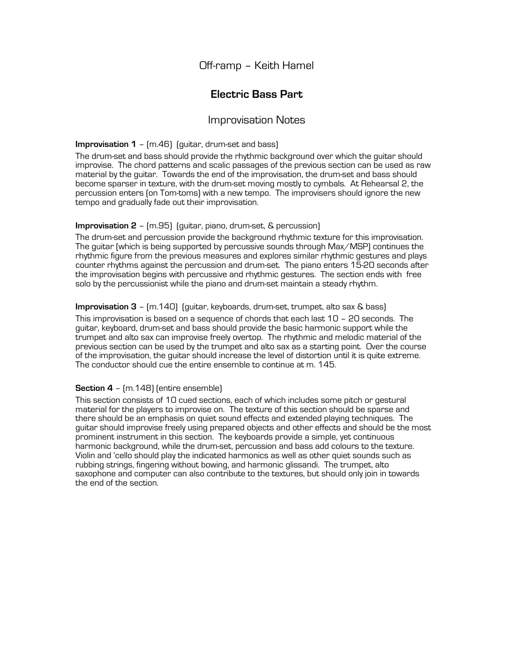## Off-ramp – Keith Hamel

# **Electric Bass Part**

### Improvisation Notes

#### **Improvisation 1** – (m.46) (guitar, drum-set and bass)

The drum-set and bass should provide the rhythmic background over which the guitar should improvise. The chord patterns and scalic passages of the previous section can be used as raw material by the guitar. Towards the end of the improvisation, the drum-set and bass should become sparser in texture, with the drum-set moving mostly to cymbals. At Rehearsal 2, the percussion enters (on Tom-toms) with a new tempo. The improvisers should ignore the new tempo and gradually fade out their improvisation.

### **Improvisation 2** – (m.95) (guitar, piano, drum-set, & percussion)

The drum-set and percussion provide the background rhythmic texture for this improvisation. The guitar (which is being supported by percussive sounds through Max/MSP) continues the rhythmic figure from the previous measures and explores similar rhythmic gestures and plays counter rhythms against the percussion and drum-set. The piano enters 15-20 seconds after the improvisation begins with percussive and rhythmic gestures. The section ends with free solo by the percussionist while the piano and drum-set maintain a steady rhythm.

#### **Improvisation 3** – (m.140) (guitar, keyboards, drum-set, trumpet, alto sax & bass)

This improvisation is based on a sequence of chords that each last 10 – 20 seconds. The guitar, keyboard, drum-set and bass should provide the basic harmonic support while the trumpet and alto sax can improvise freely overtop. The rhythmic and melodic material of the previous section can be used by the trumpet and alto sax as a starting point. Over the course of the improvisation, the guitar should increase the level of distortion until it is quite extreme. The conductor should cue the entire ensemble to continue at m. 145.

#### **Section 4** – (m.148) (entire ensemble)

This section consists of 10 cued sections, each of which includes some pitch or gestural material for the players to improvise on. The texture of this section should be sparse and there should be an emphasis on quiet sound effects and extended playing techniques. The guitar should improvise freely using prepared objects and other effects and should be the most prominent instrument in this section. The keyboards provide a simple, yet continuous harmonic background, while the drum-set, percussion and bass add colours to the texture. Violin and 'cello should play the indicated harmonics as well as other quiet sounds such as rubbing strings, fingering without bowing, and harmonic glissandi. The trumpet, alto saxophone and computer can also contribute to the textures, but should only join in towards the end of the section.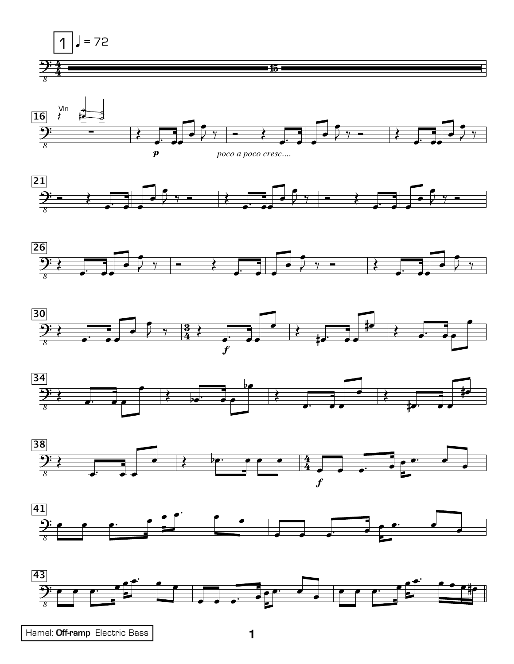















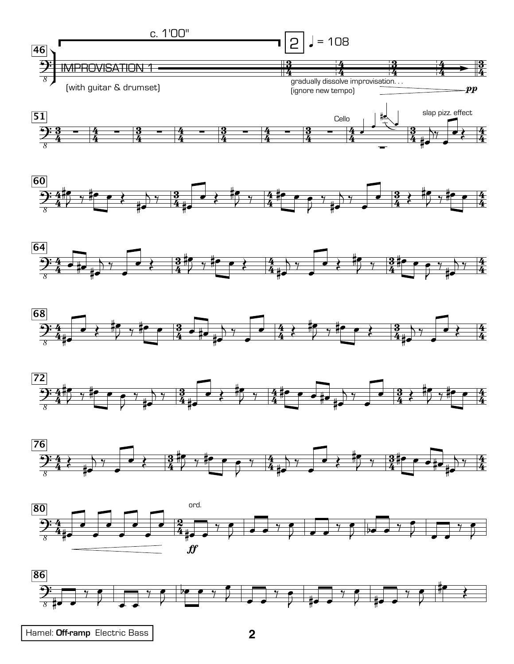













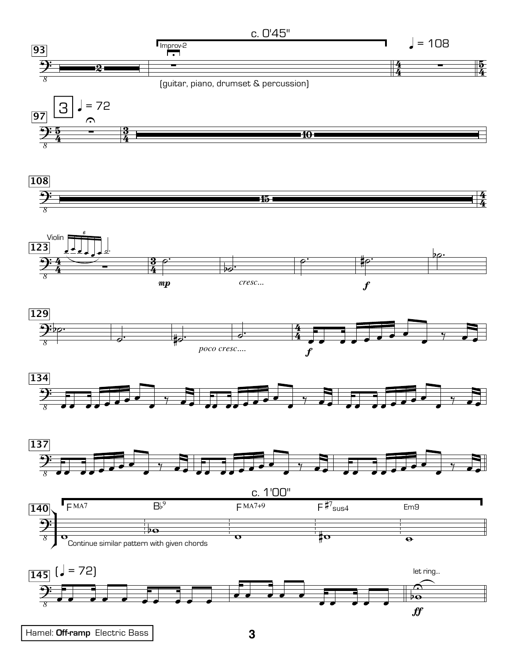

 $\mathbf{3}$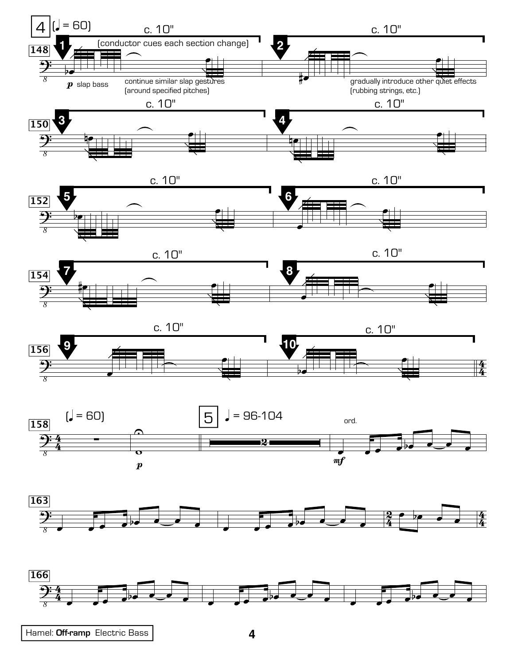

**4**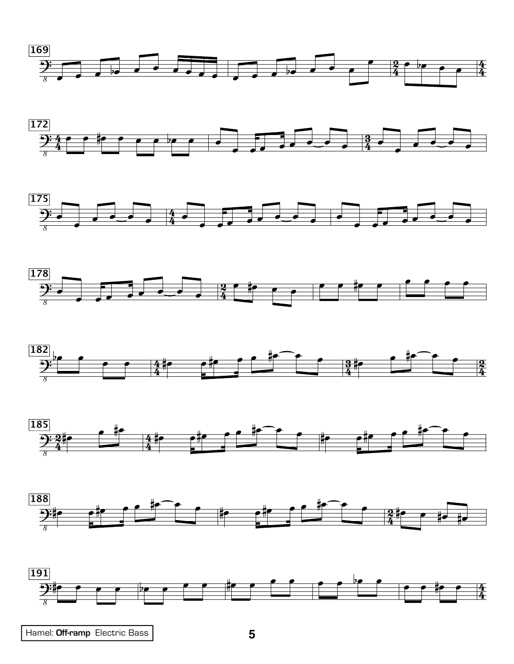